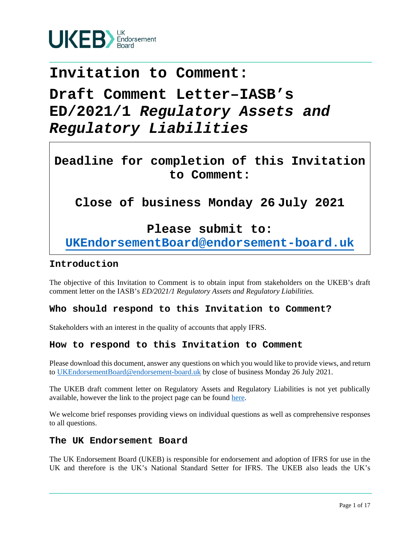

# **Invitation to Comment:**

# **Draft Comment Letter–IASB's ED/2021/1** *Regulatory Assets and Regulatory Liabilities*

**Deadline for completion of this Invitation to Comment:**

**Close of business Monday 26 July 2021**

## **Please submit to:**

**UKEndorsementBoard@endorsement-board.uk**

## **Introduction**

The objective of this Invitation to Comment is to obtain input from stakeholders on the UKEB's draft comment letter on the IASB's *ED/2021/1 Regulatory Assets and Regulatory Liabilities.*

## **Who should respond to this Invitation to Comment?**

Stakeholders with an interest in the quality of accounts that apply IFRS.

## **How to respond to this Invitation to Comment**

Please download this document, answer any questions on which you would like to provide views, and return to UKEndorsementBoard@endorsement-board.uk by close of business Monday 26 July 2021.

The UKEB draft comment letter on Regulatory Assets and Regulatory Liabilities is not yet publically available, however the link to the project page can be found here.

We welcome brief responses providing views on individual questions as well as comprehensive responses to all questions.

### **The UK Endorsement Board**

The UK Endorsement Board (UKEB) is responsible for endorsement and adoption of IFRS for use in the UK and therefore is the UK's National Standard Setter for IFRS. The UKEB also leads the UK's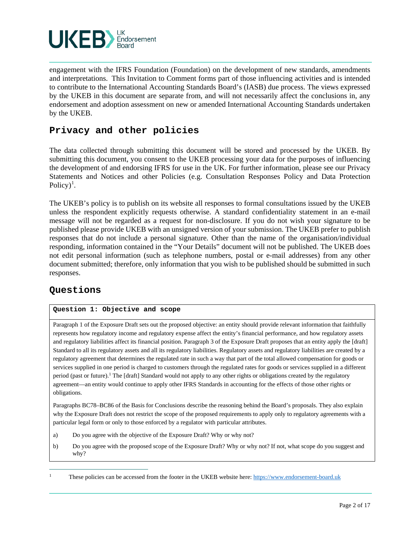

engagement with the IFRS Foundation (Foundation) on the development of new standards, amendments and interpretations.This Invitation to Comment forms part of those influencing activities and is intended to contribute to the International Accounting Standards Board's (IASB) due process. The views expressed by the UKEB in this document are separate from, and will not necessarily affect the conclusions in, any endorsement and adoption assessment on new or amended International Accounting Standards undertaken by the UKEB.

## **Privacy and other policies**

The data collected through submitting this document will be stored and processed by the UKEB. By submitting this document, you consent to the UKEB processing your data for the purposes of influencing the development of and endorsing IFRS for use in the UK. For further information, please see our Privacy Statements and Notices and other Policies (e.g. Consultation Responses Policy and Data Protection Policy)<sup>1</sup>.

The UKEB's policy is to publish on its website all responses to formal consultations issued by the UKEB unless the respondent explicitly requests otherwise. A standard confidentiality statement in an e-mail message will not be regarded as a request for non-disclosure. If you do not wish your signature to be published please provide UKEB with an unsigned version of your submission. The UKEB prefer to publish responses that do not include a personal signature. Other than the name of the organisation/individual responding, information contained in the "Your Details" document will not be published. The UKEB does not edit personal information (such as telephone numbers, postal or e-mail addresses) from any other document submitted; therefore, only information that you wish to be published should be submitted in such responses.

## **Questions**

#### **Question 1: Objective and scope**

Paragraph 1 of the Exposure Draft sets out the proposed objective: an entity should provide relevant information that faithfully represents how regulatory income and regulatory expense affect the entity's financial performance, and how regulatory assets and regulatory liabilities affect its financial position. Paragraph 3 of the Exposure Draft proposes that an entity apply the [draft] Standard to all its regulatory assets and all its regulatory liabilities. Regulatory assets and regulatory liabilities are created by a regulatory agreement that determines the regulated rate in such a way that part of the total allowed compensation for goods or services supplied in one period is charged to customers through the regulated rates for goods or services supplied in a different period (past or future).<sup>1</sup> The [draft] Standard would not apply to any other rights or obligations created by the regulatory agreement—an entity would continue to apply other IFRS Standards in accounting for the effects of those other rights or obligations.

Paragraphs BC78–BC86 of the Basis for Conclusions describe the reasoning behind the Board's proposals. They also explain why the Exposure Draft does not restrict the scope of the proposed requirements to apply only to regulatory agreements with a particular legal form or only to those enforced by a regulator with particular attributes.

- a) Do you agree with the objective of the Exposure Draft? Why or why not?
- b) Do you agree with the proposed scope of the Exposure Draft? Why or why not? If not, what scope do you suggest and why?

<sup>1</sup> These policies can be accessed from the footer in the UKEB website here: https://www.endorsement-board.uk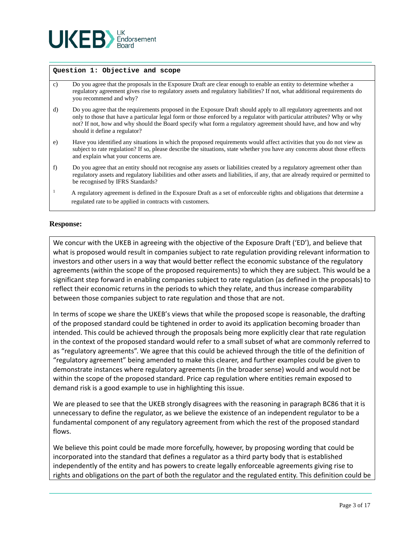

#### **Question 1: Objective and scope**

- c) Do you agree that the proposals in the Exposure Draft are clear enough to enable an entity to determine whether a regulatory agreement gives rise to regulatory assets and regulatory liabilities? If not, what additional requirements do you recommend and why?
- d) Do you agree that the requirements proposed in the Exposure Draft should apply to all regulatory agreements and not only to those that have a particular legal form or those enforced by a regulator with particular attributes? Why or why not? If not, how and why should the Board specify what form a regulatory agreement should have, and how and why should it define a regulator?
- e) Have you identified any situations in which the proposed requirements would affect activities that you do not view as subject to rate regulation? If so, please describe the situations, state whether you have any concerns about those effects and explain what your concerns are.
- f) Do you agree that an entity should not recognise any assets or liabilities created by a regulatory agreement other than regulatory assets and regulatory liabilities and other assets and liabilities, if any, that are already required or permitted to be recognised by IFRS Standards?
- <sup>1</sup> A regulatory agreement is defined in the Exposure Draft as a set of enforceable rights and obligations that determine a regulated rate to be applied in contracts with customers.

#### **Response:**

We concur with the UKEB in agreeing with the objective of the Exposure Draft ('ED'), and believe that what is proposed would result in companies subject to rate regulation providing relevant information to investors and other users in a way that would better reflect the economic substance of the regulatory agreements (within the scope of the proposed requirements) to which they are subject. This would be a significant step forward in enabling companies subject to rate regulation (as defined in the proposals) to reflect their economic returns in the periods to which they relate, and thus increase comparability between those companies subject to rate regulation and those that are not.

In terms of scope we share the UKEB's views that while the proposed scope is reasonable, the drafting of the proposed standard could be tightened in order to avoid its application becoming broader than intended. This could be achieved through the proposals being more explicitly clear that rate regulation in the context of the proposed standard would refer to a small subset of what are commonly referred to as "regulatory agreements". We agree that this could be achieved through the title of the definition of "regulatory agreement" being amended to make this clearer, and further examples could be given to demonstrate instances where regulatory agreements (in the broader sense) would and would not be within the scope of the proposed standard. Price cap regulation where entities remain exposed to demand risk is a good example to use in highlighting this issue.

We are pleased to see that the UKEB strongly disagrees with the reasoning in paragraph BC86 that it is unnecessary to define the regulator, as we believe the existence of an independent regulator to be a fundamental component of any regulatory agreement from which the rest of the proposed standard flows.

We believe this point could be made more forcefully, however, by proposing wording that could be incorporated into the standard that defines a regulator as a third party body that is established independently of the entity and has powers to create legally enforceable agreements giving rise to rights and obligations on the part of both the regulator and the regulated entity. This definition could be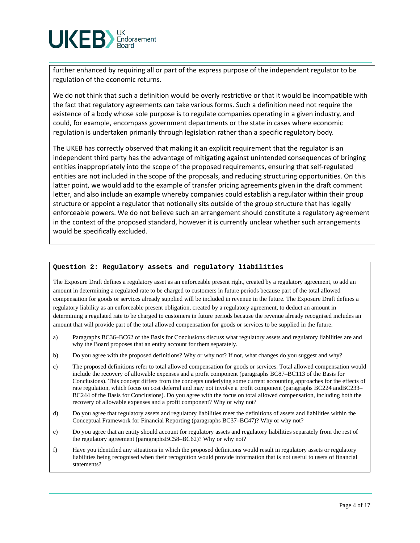

further enhanced by requiring all or part of the express purpose of the independent regulator to be regulation of the economic returns.

We do not think that such a definition would be overly restrictive or that it would be incompatible with the fact that regulatory agreements can take various forms. Such a definition need not require the existence of a body whose sole purpose is to regulate companies operating in a given industry, and could, for example, encompass government departments or the state in cases where economic regulation is undertaken primarily through legislation rather than a specific regulatory body.

The UKEB has correctly observed that making it an explicit requirement that the regulator is an independent third party has the advantage of mitigating against unintended consequences of bringing entities inappropriately into the scope of the proposed requirements, ensuring that self-regulated entities are not included in the scope of the proposals, and reducing structuring opportunities. On this latter point, we would add to the example of transfer pricing agreements given in the draft comment letter, and also include an example whereby companies could establish a regulator within their group structure or appoint a regulator that notionally sits outside of the group structure that has legally enforceable powers. We do not believe such an arrangement should constitute a regulatory agreement in the context of the proposed standard, however it is currently unclear whether such arrangements would be specifically excluded.

#### **Question 2: Regulatory assets and regulatory liabilities**

The Exposure Draft defines a regulatory asset as an enforceable present right, created by a regulatory agreement, to add an amount in determining a regulated rate to be charged to customers in future periods because part of the total allowed compensation for goods or services already supplied will be included in revenue in the future. The Exposure Draft defines a regulatory liability as an enforceable present obligation, created by a regulatory agreement, to deduct an amount in determining a regulated rate to be charged to customers in future periods because the revenue already recognised includes an amount that will provide part of the total allowed compensation for goods or services to be supplied in the future.

- a) Paragraphs BC36–BC62 of the Basis for Conclusions discuss what regulatory assets and regulatory liabilities are and why the Board proposes that an entity account for them separately.
- b) Do you agree with the proposed definitions? Why or why not? If not, what changes do you suggest and why?
- c) The proposed definitions refer to total allowed compensation for goods or services. Total allowed compensation would include the recovery of allowable expenses and a profit component (paragraphs BC87–BC113 of the Basis for Conclusions). This concept differs from the concepts underlying some current accounting approaches for the effects of rate regulation, which focus on cost deferral and may not involve a profit component (paragraphs BC224 andBC233– BC244 of the Basis for Conclusions). Do you agree with the focus on total allowed compensation, including both the recovery of allowable expenses and a profit component? Why or why not?
- d) Do you agree that regulatory assets and regulatory liabilities meet the definitions of assets and liabilities within the Conceptual Framework for Financial Reporting (paragraphs BC37–BC47)? Why or why not?
- e) Do you agree that an entity should account for regulatory assets and regulatory liabilities separately from the rest of the regulatory agreement (paragraphsBC58–BC62)? Why or why not?
- f) Have you identified any situations in which the proposed definitions would result in regulatory assets or regulatory liabilities being recognised when their recognition would provide information that is not useful to users of financial statements?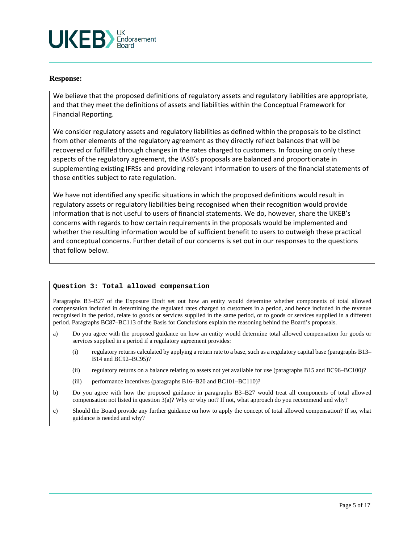

#### **Response:**

We believe that the proposed definitions of regulatory assets and regulatory liabilities are appropriate, and that they meet the definitions of assets and liabilities within the Conceptual Framework for Financial Reporting.

We consider regulatory assets and regulatory liabilities as defined within the proposals to be distinct from other elements of the regulatory agreement as they directly reflect balances that will be recovered or fulfilled through changes in the rates charged to customers. In focusing on only these aspects of the regulatory agreement, the IASB's proposals are balanced and proportionate in supplementing existing IFRSs and providing relevant information to users of the financial statements of those entities subject to rate regulation.

We have not identified any specific situations in which the proposed definitions would result in regulatory assets or regulatory liabilities being recognised when their recognition would provide information that is not useful to users of financial statements. We do, however, share the UKEB's concerns with regards to how certain requirements in the proposals would be implemented and whether the resulting information would be of sufficient benefit to users to outweigh these practical and conceptual concerns. Further detail of our concerns is set out in our responses to the questions that follow below.

#### **Question 3: Total allowed compensation**

Paragraphs B3–B27 of the Exposure Draft set out how an entity would determine whether components of total allowed compensation included in determining the regulated rates charged to customers in a period, and hence included in the revenue recognised in the period, relate to goods or services supplied in the same period, or to goods or services supplied in a different period. Paragraphs BC87–BC113 of the Basis for Conclusions explain the reasoning behind the Board's proposals.

- a) Do you agree with the proposed guidance on how an entity would determine total allowed compensation for goods or services supplied in a period if a regulatory agreement provides:
	- (i) regulatory returns calculated by applying a return rate to a base, such as a regulatory capital base (paragraphs B13– B14 and BC92–BC95)?
	- (ii) regulatory returns on a balance relating to assets not yet available for use (paragraphs B15 and BC96–BC100)?
	- (iii) performance incentives (paragraphs B16–B20 and BC101–BC110)?
- b) Do you agree with how the proposed guidance in paragraphs B3–B27 would treat all components of total allowed compensation not listed in question 3(a)? Why or why not? If not, what approach do you recommend and why?
- c) Should the Board provide any further guidance on how to apply the concept of total allowed compensation? If so, what guidance is needed and why?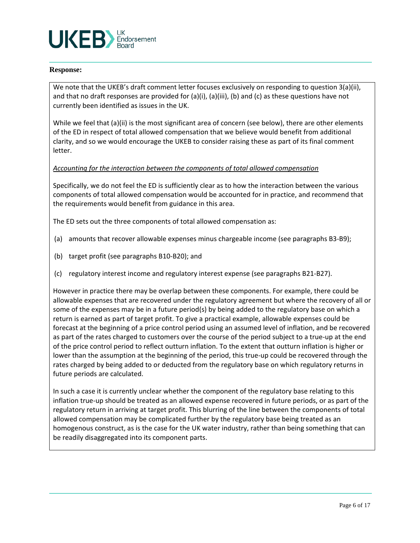

#### **Response:**

We note that the UKEB's draft comment letter focuses exclusively on responding to question 3(a)(ii), and that no draft responses are provided for  $(a)(i)$ ,  $(a)(ii)$ ,  $(b)$  and  $(c)$  as these questions have not currently been identified as issues in the UK.

While we feel that (a)(ii) is the most significant area of concern (see below), there are other elements of the ED in respect of total allowed compensation that we believe would benefit from additional clarity, and so we would encourage the UKEB to consider raising these as part of its final comment letter.

#### *Accounting for the interaction between the components of total allowed compensation*

Specifically, we do not feel the ED is sufficiently clear as to how the interaction between the various components of total allowed compensation would be accounted for in practice, and recommend that the requirements would benefit from guidance in this area.

The ED sets out the three components of total allowed compensation as:

- (a) amounts that recover allowable expenses minus chargeable income (see paragraphs B3-B9);
- (b) target profit (see paragraphs B10-B20); and
- (c) regulatory interest income and regulatory interest expense (see paragraphs B21-B27).

However in practice there may be overlap between these components. For example, there could be allowable expenses that are recovered under the regulatory agreement but where the recovery of all or some of the expenses may be in a future period(s) by being added to the regulatory base on which a return is earned as part of target profit. To give a practical example, allowable expenses could be forecast at the beginning of a price control period using an assumed level of inflation, and be recovered as part of the rates charged to customers over the course of the period subject to a true-up at the end of the price control period to reflect outturn inflation. To the extent that outturn inflation is higher or lower than the assumption at the beginning of the period, this true-up could be recovered through the rates charged by being added to or deducted from the regulatory base on which regulatory returns in future periods are calculated.

In such a case it is currently unclear whether the component of the regulatory base relating to this inflation true-up should be treated as an allowed expense recovered in future periods, or as part of the regulatory return in arriving at target profit. This blurring of the line between the components of total allowed compensation may be complicated further by the regulatory base being treated as an homogenous construct, as is the case for the UK water industry, rather than being something that can be readily disaggregated into its component parts.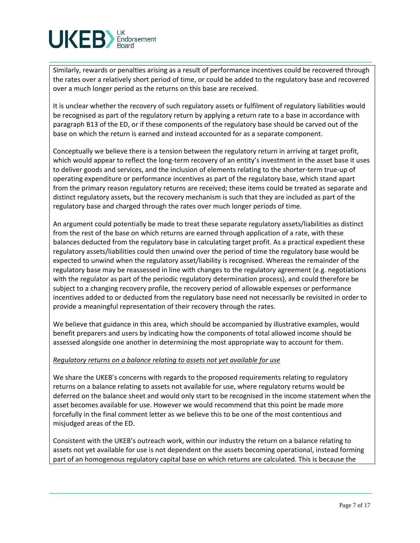

Similarly, rewards or penalties arising as a result of performance incentives could be recovered through the rates over a relatively short period of time, or could be added to the regulatory base and recovered over a much longer period as the returns on this base are received.

It is unclear whether the recovery of such regulatory assets or fulfilment of regulatory liabilities would be recognised as part of the regulatory return by applying a return rate to a base in accordance with paragraph B13 of the ED, or if these components of the regulatory base should be carved out of the base on which the return is earned and instead accounted for as a separate component.

Conceptually we believe there is a tension between the regulatory return in arriving at target profit, which would appear to reflect the long-term recovery of an entity's investment in the asset base it uses to deliver goods and services, and the inclusion of elements relating to the shorter-term true-up of operating expenditure or performance incentives as part of the regulatory base, which stand apart from the primary reason regulatory returns are received; these items could be treated as separate and distinct regulatory assets, but the recovery mechanism is such that they are included as part of the regulatory base and charged through the rates over much longer periods of time.

An argument could potentially be made to treat these separate regulatory assets/liabilities as distinct from the rest of the base on which returns are earned through application of a rate, with these balances deducted from the regulatory base in calculating target profit. As a practical expedient these regulatory assets/liabilities could then unwind over the period of time the regulatory base would be expected to unwind when the regulatory asset/liability is recognised. Whereas the remainder of the regulatory base may be reassessed in line with changes to the regulatory agreement (e.g. negotiations with the regulator as part of the periodic regulatory determination process), and could therefore be subject to a changing recovery profile, the recovery period of allowable expenses or performance incentives added to or deducted from the regulatory base need not necessarily be revisited in order to provide a meaningful representation of their recovery through the rates.

We believe that guidance in this area, which should be accompanied by illustrative examples, would benefit preparers and users by indicating how the components of total allowed income should be assessed alongside one another in determining the most appropriate way to account for them.

#### *Regulatory returns on a balance relating to assets not yet available for use*

We share the UKEB's concerns with regards to the proposed requirements relating to regulatory returns on a balance relating to assets not available for use, where regulatory returns would be deferred on the balance sheet and would only start to be recognised in the income statement when the asset becomes available for use. However we would recommend that this point be made more forcefully in the final comment letter as we believe this to be one of the most contentious and misjudged areas of the ED.

Consistent with the UKEB's outreach work, within our industry the return on a balance relating to assets not yet available for use is not dependent on the assets becoming operational, instead forming part of an homogenous regulatory capital base on which returns are calculated. This is because the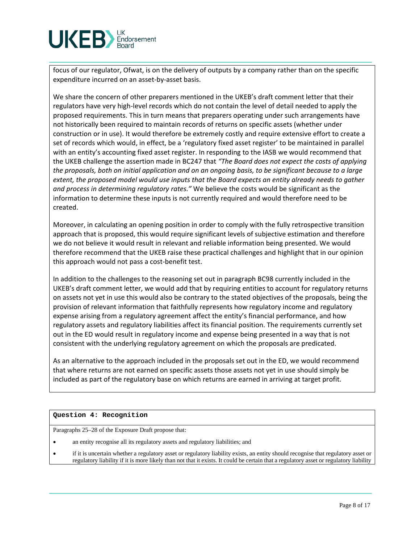

focus of our regulator, Ofwat, is on the delivery of outputs by a company rather than on the specific expenditure incurred on an asset-by-asset basis.

We share the concern of other preparers mentioned in the UKEB's draft comment letter that their regulators have very high-level records which do not contain the level of detail needed to apply the proposed requirements. This in turn means that preparers operating under such arrangements have not historically been required to maintain records of returns on specific assets (whether under construction or in use). It would therefore be extremely costly and require extensive effort to create a set of records which would, in effect, be a 'regulatory fixed asset register' to be maintained in parallel with an entity's accounting fixed asset register. In responding to the IASB we would recommend that the UKEB challenge the assertion made in BC247 that *"The Board does not expect the costs of applying the proposals, both on initial application and on an ongoing basis, to be significant because to a large extent, the proposed model would use inputs that the Board expects an entity already needs to gather and process in determining regulatory rates."* We believe the costs would be significant as the information to determine these inputs is not currently required and would therefore need to be created.

Moreover, in calculating an opening position in order to comply with the fully retrospective transition approach that is proposed, this would require significant levels of subjective estimation and therefore we do not believe it would result in relevant and reliable information being presented. We would therefore recommend that the UKEB raise these practical challenges and highlight that in our opinion this approach would not pass a cost-benefit test.

In addition to the challenges to the reasoning set out in paragraph BC98 currently included in the UKEB's draft comment letter, we would add that by requiring entities to account for regulatory returns on assets not yet in use this would also be contrary to the stated objectives of the proposals, being the provision of relevant information that faithfully represents how regulatory income and regulatory expense arising from a regulatory agreement affect the entity's financial performance, and how regulatory assets and regulatory liabilities affect its financial position. The requirements currently set out in the ED would result in regulatory income and expense being presented in a way that is not consistent with the underlying regulatory agreement on which the proposals are predicated.

As an alternative to the approach included in the proposals set out in the ED, we would recommend that where returns are not earned on specific assets those assets not yet in use should simply be included as part of the regulatory base on which returns are earned in arriving at target profit.

#### **Question 4: Recognition**

Paragraphs 25–28 of the Exposure Draft propose that:

- an entity recognise all its regulatory assets and regulatory liabilities; and
- if it is uncertain whether a regulatory asset or regulatory liability exists, an entity should recognise that regulatory asset or regulatory liability if it is more likely than not that it exists. It could be certain that a regulatory asset or regulatory liability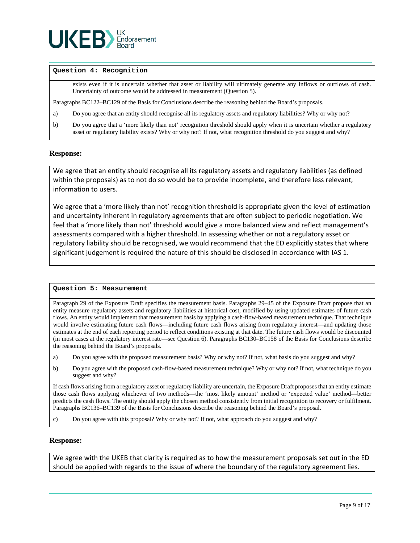

#### **Question 4: Recognition**

exists even if it is uncertain whether that asset or liability will ultimately generate any inflows or outflows of cash. Uncertainty of outcome would be addressed in measurement (Question 5).

Paragraphs BC122–BC129 of the Basis for Conclusions describe the reasoning behind the Board's proposals.

- a) Do you agree that an entity should recognise all its regulatory assets and regulatory liabilities? Why or why not?
- b) Do you agree that a 'more likely than not' recognition threshold should apply when it is uncertain whether a regulatory asset or regulatory liability exists? Why or why not? If not, what recognition threshold do you suggest and why?

#### **Response:**

We agree that an entity should recognise all its regulatory assets and regulatory liabilities (as defined within the proposals) as to not do so would be to provide incomplete, and therefore less relevant, information to users.

We agree that a 'more likely than not' recognition threshold is appropriate given the level of estimation and uncertainty inherent in regulatory agreements that are often subject to periodic negotiation. We feel that a 'more likely than not' threshold would give a more balanced view and reflect management's assessments compared with a higher threshold. In assessing whether or not a regulatory asset or regulatory liability should be recognised, we would recommend that the ED explicitly states that where significant judgement is required the nature of this should be disclosed in accordance with IAS 1.

#### **Question 5: Measurement**

Paragraph 29 of the Exposure Draft specifies the measurement basis. Paragraphs 29–45 of the Exposure Draft propose that an entity measure regulatory assets and regulatory liabilities at historical cost, modified by using updated estimates of future cash flows. An entity would implement that measurement basis by applying a cash-flow-based measurement technique. That technique would involve estimating future cash flows—including future cash flows arising from regulatory interest—and updating those estimates at the end of each reporting period to reflect conditions existing at that date. The future cash flows would be discounted (in most cases at the regulatory interest rate—see Question 6). Paragraphs BC130–BC158 of the Basis for Conclusions describe the reasoning behind the Board's proposals.

- a) Do you agree with the proposed measurement basis? Why or why not? If not, what basis do you suggest and why?
- b) Do you agree with the proposed cash-flow-based measurement technique? Why or why not? If not, what technique do you suggest and why?

If cash flows arising from a regulatory asset or regulatory liability are uncertain, the Exposure Draft proposes that an entity estimate those cash flows applying whichever of two methods—the 'most likely amount' method or 'expected value' method—better predicts the cash flows. The entity should apply the chosen method consistently from initial recognition to recovery or fulfilment. Paragraphs BC136–BC139 of the Basis for Conclusions describe the reasoning behind the Board's proposal.

c) Do you agree with this proposal? Why or why not? If not, what approach do you suggest and why?

#### **Response:**

We agree with the UKEB that clarity is required as to how the measurement proposals set out in the ED should be applied with regards to the issue of where the boundary of the regulatory agreement lies.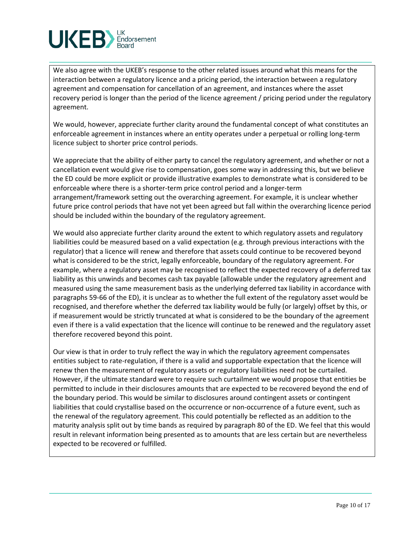

We also agree with the UKEB's response to the other related issues around what this means for the interaction between a regulatory licence and a pricing period, the interaction between a regulatory agreement and compensation for cancellation of an agreement, and instances where the asset recovery period is longer than the period of the licence agreement / pricing period under the regulatory agreement.

We would, however, appreciate further clarity around the fundamental concept of what constitutes an enforceable agreement in instances where an entity operates under a perpetual or rolling long-term licence subject to shorter price control periods.

We appreciate that the ability of either party to cancel the regulatory agreement, and whether or not a cancellation event would give rise to compensation, goes some way in addressing this, but we believe the ED could be more explicit or provide illustrative examples to demonstrate what is considered to be enforceable where there is a shorter-term price control period and a longer-term arrangement/framework setting out the overarching agreement. For example, it is unclear whether future price control periods that have not yet been agreed but fall within the overarching licence period should be included within the boundary of the regulatory agreement.

We would also appreciate further clarity around the extent to which regulatory assets and regulatory liabilities could be measured based on a valid expectation (e.g. through previous interactions with the regulator) that a licence will renew and therefore that assets could continue to be recovered beyond what is considered to be the strict, legally enforceable, boundary of the regulatory agreement. For example, where a regulatory asset may be recognised to reflect the expected recovery of a deferred tax liability as this unwinds and becomes cash tax payable (allowable under the regulatory agreement and measured using the same measurement basis as the underlying deferred tax liability in accordance with paragraphs 59-66 of the ED), it is unclear as to whether the full extent of the regulatory asset would be recognised, and therefore whether the deferred tax liability would be fully (or largely) offset by this, or if measurement would be strictly truncated at what is considered to be the boundary of the agreement even if there is a valid expectation that the licence will continue to be renewed and the regulatory asset therefore recovered beyond this point.

Our view is that in order to truly reflect the way in which the regulatory agreement compensates entities subject to rate-regulation, if there is a valid and supportable expectation that the licence will renew then the measurement of regulatory assets or regulatory liabilities need not be curtailed. However, if the ultimate standard were to require such curtailment we would propose that entities be permitted to include in their disclosures amounts that are expected to be recovered beyond the end of the boundary period. This would be similar to disclosures around contingent assets or contingent liabilities that could crystallise based on the occurrence or non-occurrence of a future event, such as the renewal of the regulatory agreement. This could potentially be reflected as an addition to the maturity analysis split out by time bands as required by paragraph 80 of the ED. We feel that this would result in relevant information being presented as to amounts that are less certain but are nevertheless expected to be recovered or fulfilled.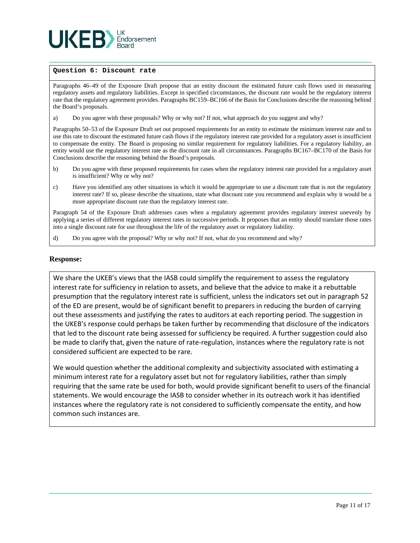

#### **Question 6: Discount rate**

Paragraphs 46–49 of the Exposure Draft propose that an entity discount the estimated future cash flows used in measuring regulatory assets and regulatory liabilities. Except in specified circumstances, the discount rate would be the regulatory interest rate that the regulatory agreement provides. Paragraphs BC159–BC166 of the Basis for Conclusions describe the reasoning behind the Board's proposals.

a) Do you agree with these proposals? Why or why not? If not, what approach do you suggest and why?

Paragraphs 50–53 of the Exposure Draft set out proposed requirements for an entity to estimate the minimum interest rate and to use this rate to discount the estimated future cash flows if the regulatory interest rate provided for a regulatory asset is insufficient to compensate the entity. The Board is proposing no similar requirement for regulatory liabilities. For a regulatory liability, an entity would use the regulatory interest rate as the discount rate in all circumstances. Paragraphs BC167–BC170 of the Basis for Conclusions describe the reasoning behind the Board's proposals.

- b) Do you agree with these proposed requirements for cases when the regulatory interest rate provided for a regulatory asset is insufficient? Why or why not?
- c) Have you identified any other situations in which it would be appropriate to use a discount rate that is not the regulatory interest rate? If so, please describe the situations, state what discount rate you recommend and explain why it would be a more appropriate discount rate than the regulatory interest rate.

Paragraph 54 of the Exposure Draft addresses cases when a regulatory agreement provides regulatory interest unevenly by applying a series of different regulatory interest rates in successive periods. It proposes that an entity should translate those rates into a single discount rate for use throughout the life of the regulatory asset or regulatory liability.

d) Do you agree with the proposal? Why or why not? If not, what do you recommend and why?

#### **Response:**

We share the UKEB's views that the IASB could simplify the requirement to assess the regulatory interest rate for sufficiency in relation to assets, and believe that the advice to make it a rebuttable presumption that the regulatory interest rate is sufficient, unless the indicators set out in paragraph 52 of the ED are present, would be of significant benefit to preparers in reducing the burden of carrying out these assessments and justifying the rates to auditors at each reporting period. The suggestion in the UKEB's response could perhaps be taken further by recommending that disclosure of the indicators that led to the discount rate being assessed for sufficiency be required. A further suggestion could also be made to clarify that, given the nature of rate-regulation, instances where the regulatory rate is not considered sufficient are expected to be rare.

We would question whether the additional complexity and subjectivity associated with estimating a minimum interest rate for a regulatory asset but not for regulatory liabilities, rather than simply requiring that the same rate be used for both, would provide significant benefit to users of the financial statements. We would encourage the IASB to consider whether in its outreach work it has identified instances where the regulatory rate is not considered to sufficiently compensate the entity, and how common such instances are.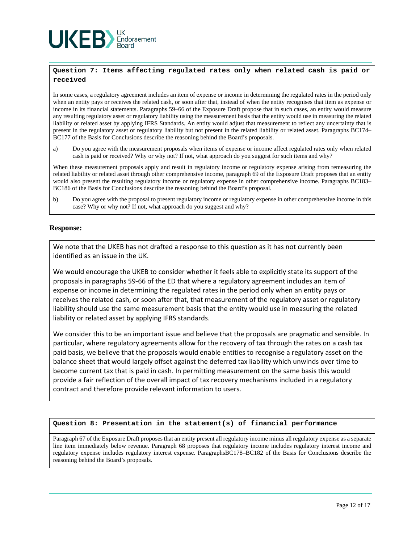

#### **Question 7: Items affecting regulated rates only when related cash is paid or received**

In some cases, a regulatory agreement includes an item of expense or income in determining the regulated rates in the period only when an entity pays or receives the related cash, or soon after that, instead of when the entity recognises that item as expense or income in its financial statements. Paragraphs 59–66 of the Exposure Draft propose that in such cases, an entity would measure any resulting regulatory asset or regulatory liability using the measurement basis that the entity would use in measuring the related liability or related asset by applying IFRS Standards. An entity would adjust that measurement to reflect any uncertainty that is present in the regulatory asset or regulatory liability but not present in the related liability or related asset. Paragraphs BC174– BC177 of the Basis for Conclusions describe the reasoning behind the Board's proposals.

a) Do you agree with the measurement proposals when items of expense or income affect regulated rates only when related cash is paid or received? Why or why not? If not, what approach do you suggest for such items and why?

When these measurement proposals apply and result in regulatory income or regulatory expense arising from remeasuring the related liability or related asset through other comprehensive income, paragraph 69 of the Exposure Draft proposes that an entity would also present the resulting regulatory income or regulatory expense in other comprehensive income. Paragraphs BC183– BC186 of the Basis for Conclusions describe the reasoning behind the Board's proposal.

b) Do you agree with the proposal to present regulatory income or regulatory expense in other comprehensive income in this case? Why or why not? If not, what approach do you suggest and why?

#### **Response:**

We note that the UKEB has not drafted a response to this question as it has not currently been identified as an issue in the UK.

We would encourage the UKEB to consider whether it feels able to explicitly state its support of the proposals in paragraphs 59-66 of the ED that where a regulatory agreement includes an item of expense or income in determining the regulated rates in the period only when an entity pays or receives the related cash, or soon after that, that measurement of the regulatory asset or regulatory liability should use the same measurement basis that the entity would use in measuring the related liability or related asset by applying IFRS standards.

We consider this to be an important issue and believe that the proposals are pragmatic and sensible. In particular, where regulatory agreements allow for the recovery of tax through the rates on a cash tax paid basis, we believe that the proposals would enable entities to recognise a regulatory asset on the balance sheet that would largely offset against the deferred tax liability which unwinds over time to become current tax that is paid in cash. In permitting measurement on the same basis this would provide a fair reflection of the overall impact of tax recovery mechanisms included in a regulatory contract and therefore provide relevant information to users.

#### **Question 8: Presentation in the statement(s) of financial performance**

Paragraph 67 of the Exposure Draft proposes that an entity present all regulatory income minus all regulatory expense as a separate line item immediately below revenue. Paragraph 68 proposes that regulatory income includes regulatory interest income and regulatory expense includes regulatory interest expense. ParagraphsBC178–BC182 of the Basis for Conclusions describe the reasoning behind the Board's proposals.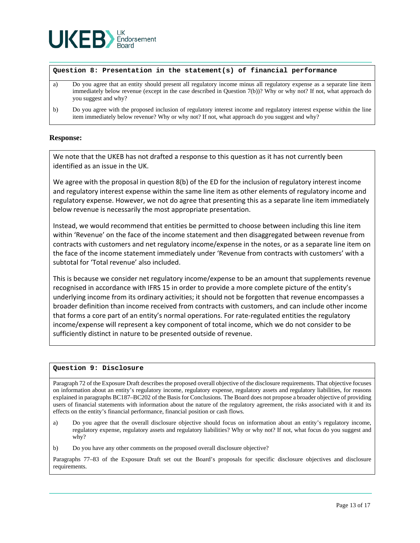

#### **Question 8: Presentation in the statement(s) of financial performance**

- a) Do you agree that an entity should present all regulatory income minus all regulatory expense as a separate line item immediately below revenue (except in the case described in Question 7(b))? Why or why not? If not, what approach do you suggest and why?
- b) Do you agree with the proposed inclusion of regulatory interest income and regulatory interest expense within the line item immediately below revenue? Why or why not? If not, what approach do you suggest and why?

#### **Response:**

We note that the UKEB has not drafted a response to this question as it has not currently been identified as an issue in the UK.

We agree with the proposal in question 8(b) of the ED for the inclusion of regulatory interest income and regulatory interest expense within the same line item as other elements of regulatory income and regulatory expense. However, we not do agree that presenting this as a separate line item immediately below revenue is necessarily the most appropriate presentation.

Instead, we would recommend that entities be permitted to choose between including this line item within 'Revenue' on the face of the income statement and then disaggregated between revenue from contracts with customers and net regulatory income/expense in the notes, or as a separate line item on the face of the income statement immediately under 'Revenue from contracts with customers' with a subtotal for 'Total revenue' also included.

This is because we consider net regulatory income/expense to be an amount that supplements revenue recognised in accordance with IFRS 15 in order to provide a more complete picture of the entity's underlying income from its ordinary activities; it should not be forgotten that revenue encompasses a broader definition than income received from contracts with customers, and can include other income that forms a core part of an entity's normal operations. For rate-regulated entities the regulatory income/expense will represent a key component of total income, which we do not consider to be sufficiently distinct in nature to be presented outside of revenue.

#### **Question 9: Disclosure**

Paragraph 72 of the Exposure Draft describes the proposed overall objective of the disclosure requirements. That objective focuses on information about an entity's regulatory income, regulatory expense, regulatory assets and regulatory liabilities, for reasons explained in paragraphs BC187–BC202 of the Basis for Conclusions. The Board does not propose a broader objective of providing users of financial statements with information about the nature of the regulatory agreement, the risks associated with it and its effects on the entity's financial performance, financial position or cash flows.

- a) Do you agree that the overall disclosure objective should focus on information about an entity's regulatory income, regulatory expense, regulatory assets and regulatory liabilities? Why or why not? If not, what focus do you suggest and why?
- b) Do you have any other comments on the proposed overall disclosure objective?

Paragraphs 77–83 of the Exposure Draft set out the Board's proposals for specific disclosure objectives and disclosure requirements.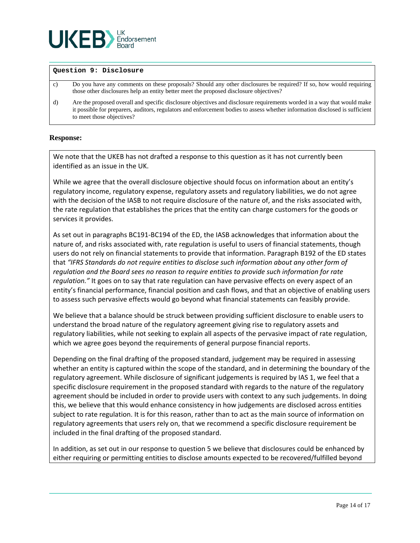

#### **Question 9: Disclosure**

- c) Do you have any comments on these proposals? Should any other disclosures be required? If so, how would requiring those other disclosures help an entity better meet the proposed disclosure objectives?
- d) Are the proposed overall and specific disclosure objectives and disclosure requirements worded in a way that would make it possible for preparers, auditors, regulators and enforcement bodies to assess whether information disclosed is sufficient to meet those objectives?

#### **Response:**

We note that the UKEB has not drafted a response to this question as it has not currently been identified as an issue in the UK.

While we agree that the overall disclosure objective should focus on information about an entity's regulatory income, regulatory expense, regulatory assets and regulatory liabilities, we do not agree with the decision of the IASB to not require disclosure of the nature of, and the risks associated with, the rate regulation that establishes the prices that the entity can charge customers for the goods or services it provides.

As set out in paragraphs BC191-BC194 of the ED, the IASB acknowledges that information about the nature of, and risks associated with, rate regulation is useful to users of financial statements, though users do not rely on financial statements to provide that information. Paragraph B192 of the ED states that *"IFRS Standards do not require entities to disclose such information about any other form of regulation and the Board sees no reason to require entities to provide such information for rate regulation."* It goes on to say that rate regulation can have pervasive effects on every aspect of an entity's financial performance, financial position and cash flows, and that an objective of enabling users to assess such pervasive effects would go beyond what financial statements can feasibly provide.

We believe that a balance should be struck between providing sufficient disclosure to enable users to understand the broad nature of the regulatory agreement giving rise to regulatory assets and regulatory liabilities, while not seeking to explain all aspects of the pervasive impact of rate regulation, which we agree goes beyond the requirements of general purpose financial reports.

Depending on the final drafting of the proposed standard, judgement may be required in assessing whether an entity is captured within the scope of the standard, and in determining the boundary of the regulatory agreement. While disclosure of significant judgements is required by IAS 1, we feel that a specific disclosure requirement in the proposed standard with regards to the nature of the regulatory agreement should be included in order to provide users with context to any such judgements. In doing this, we believe that this would enhance consistency in how judgements are disclosed across entities subject to rate regulation. It is for this reason, rather than to act as the main source of information on regulatory agreements that users rely on, that we recommend a specific disclosure requirement be included in the final drafting of the proposed standard.

In addition, as set out in our response to question 5 we believe that disclosures could be enhanced by either requiring or permitting entities to disclose amounts expected to be recovered/fulfilled beyond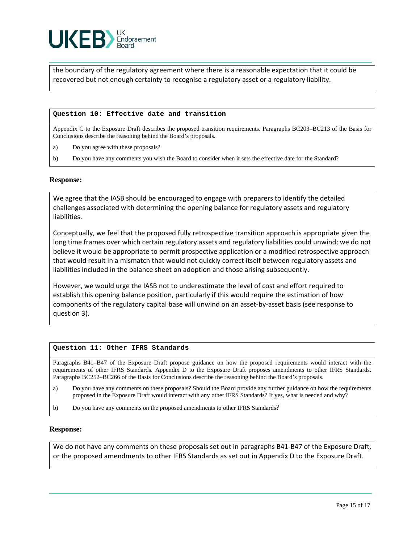

the boundary of the regulatory agreement where there is a reasonable expectation that it could be recovered but not enough certainty to recognise a regulatory asset or a regulatory liability.

#### **Question 10: Effective date and transition**

Appendix C to the Exposure Draft describes the proposed transition requirements. Paragraphs BC203–BC213 of the Basis for Conclusions describe the reasoning behind the Board's proposals.

- a) Do you agree with these proposals?
- b) Do you have any comments you wish the Board to consider when it sets the effective date for the Standard?

#### **Response:**

We agree that the IASB should be encouraged to engage with preparers to identify the detailed challenges associated with determining the opening balance for regulatory assets and regulatory liabilities.

Conceptually, we feel that the proposed fully retrospective transition approach is appropriate given the long time frames over which certain regulatory assets and regulatory liabilities could unwind; we do not believe it would be appropriate to permit prospective application or a modified retrospective approach that would result in a mismatch that would not quickly correct itself between regulatory assets and liabilities included in the balance sheet on adoption and those arising subsequently.

However, we would urge the IASB not to underestimate the level of cost and effort required to establish this opening balance position, particularly if this would require the estimation of how components of the regulatory capital base will unwind on an asset-by-asset basis (see response to question 3).

#### **Question 11: Other IFRS Standards**

Paragraphs B41–B47 of the Exposure Draft propose guidance on how the proposed requirements would interact with the requirements of other IFRS Standards. Appendix D to the Exposure Draft proposes amendments to other IFRS Standards. Paragraphs BC252–BC266 of the Basis for Conclusions describe the reasoning behind the Board's proposals.

- a) Do you have any comments on these proposals? Should the Board provide any further guidance on how the requirements proposed in the Exposure Draft would interact with any other IFRS Standards? If yes, what is needed and why?
- b) Do you have any comments on the proposed amendments to other IFRS Standards?

#### **Response:**

We do not have any comments on these proposals set out in paragraphs B41-B47 of the Exposure Draft, or the proposed amendments to other IFRS Standards as set out in Appendix D to the Exposure Draft.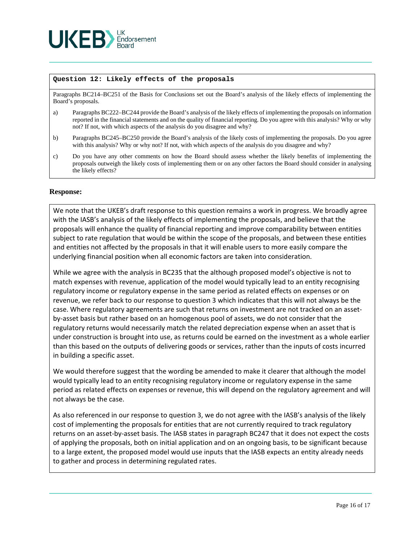

#### **Question 12: Likely effects of the proposals**

Paragraphs BC214–BC251 of the Basis for Conclusions set out the Board's analysis of the likely effects of implementing the Board's proposals.

- a) Paragraphs BC222–BC244 provide the Board's analysis of the likely effects of implementing the proposals on information reported in the financial statements and on the quality of financial reporting. Do you agree with this analysis? Why or why not? If not, with which aspects of the analysis do you disagree and why?
- b) Paragraphs BC245–BC250 provide the Board's analysis of the likely costs of implementing the proposals. Do you agree with this analysis? Why or why not? If not, with which aspects of the analysis do you disagree and why?
- c) Do you have any other comments on how the Board should assess whether the likely benefits of implementing the proposals outweigh the likely costs of implementing them or on any other factors the Board should consider in analysing the likely effects?

#### **Response:**

We note that the UKEB's draft response to this question remains a work in progress. We broadly agree with the IASB's analysis of the likely effects of implementing the proposals, and believe that the proposals will enhance the quality of financial reporting and improve comparability between entities subject to rate regulation that would be within the scope of the proposals, and between these entities and entities not affected by the proposals in that it will enable users to more easily compare the underlying financial position when all economic factors are taken into consideration.

While we agree with the analysis in BC235 that the although proposed model's objective is not to match expenses with revenue, application of the model would typically lead to an entity recognising regulatory income or regulatory expense in the same period as related effects on expenses or on revenue, we refer back to our response to question 3 which indicates that this will not always be the case. Where regulatory agreements are such that returns on investment are not tracked on an assetby-asset basis but rather based on an homogenous pool of assets, we do not consider that the regulatory returns would necessarily match the related depreciation expense when an asset that is under construction is brought into use, as returns could be earned on the investment as a whole earlier than this based on the outputs of delivering goods or services, rather than the inputs of costs incurred in building a specific asset.

We would therefore suggest that the wording be amended to make it clearer that although the model would typically lead to an entity recognising regulatory income or regulatory expense in the same period as related effects on expenses or revenue, this will depend on the regulatory agreement and will not always be the case.

As also referenced in our response to question 3, we do not agree with the IASB's analysis of the likely cost of implementing the proposals for entities that are not currently required to track regulatory returns on an asset-by-asset basis. The IASB states in paragraph BC247 that it does not expect the costs of applying the proposals, both on initial application and on an ongoing basis, to be significant because to a large extent, the proposed model would use inputs that the IASB expects an entity already needs to gather and process in determining regulated rates.